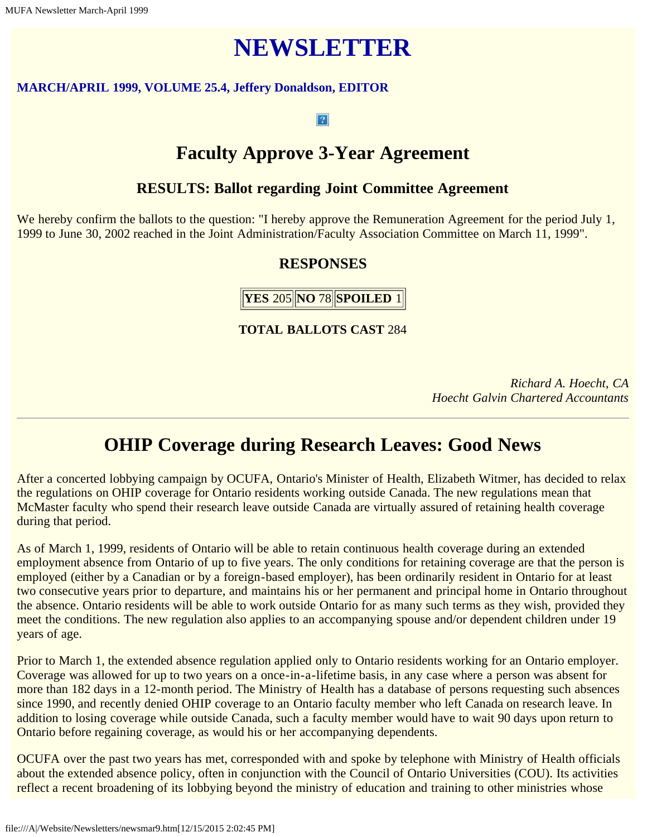# **NEWSLETTER**

#### **MARCH/APRIL 1999, VOLUME 25.4, Jeffery Donaldson, EDITOR**

#### $\vert$  ?

# **Faculty Approve 3-Year Agreement**

### **RESULTS: Ballot regarding Joint Committee Agreement**

We hereby confirm the ballots to the question: "I hereby approve the Remuneration Agreement for the period July 1, 1999 to June 30, 2002 reached in the Joint Administration/Faculty Association Committee on March 11, 1999".

# **RESPONSES**

**YES** 205 **NO** 78 **SPOILED** 1

**TOTAL BALLOTS CAST** 284

*Richard A. Hoecht, CA Hoecht Galvin Chartered Accountants*

# **OHIP Coverage during Research Leaves: Good News**

After a concerted lobbying campaign by OCUFA, Ontario's Minister of Health, Elizabeth Witmer, has decided to relax the regulations on OHIP coverage for Ontario residents working outside Canada. The new regulations mean that McMaster faculty who spend their research leave outside Canada are virtually assured of retaining health coverage during that period.

As of March 1, 1999, residents of Ontario will be able to retain continuous health coverage during an extended employment absence from Ontario of up to five years. The only conditions for retaining coverage are that the person is employed (either by a Canadian or by a foreign-based employer), has been ordinarily resident in Ontario for at least two consecutive years prior to departure, and maintains his or her permanent and principal home in Ontario throughout the absence. Ontario residents will be able to work outside Ontario for as many such terms as they wish, provided they meet the conditions. The new regulation also applies to an accompanying spouse and/or dependent children under 19 years of age.

Prior to March 1, the extended absence regulation applied only to Ontario residents working for an Ontario employer. Coverage was allowed for up to two years on a once-in-a-lifetime basis, in any case where a person was absent for more than 182 days in a 12-month period. The Ministry of Health has a database of persons requesting such absences since 1990, and recently denied OHIP coverage to an Ontario faculty member who left Canada on research leave. In addition to losing coverage while outside Canada, such a faculty member would have to wait 90 days upon return to Ontario before regaining coverage, as would his or her accompanying dependents.

OCUFA over the past two years has met, corresponded with and spoke by telephone with Ministry of Health officials about the extended absence policy, often in conjunction with the Council of Ontario Universities (COU). Its activities reflect a recent broadening of its lobbying beyond the ministry of education and training to other ministries whose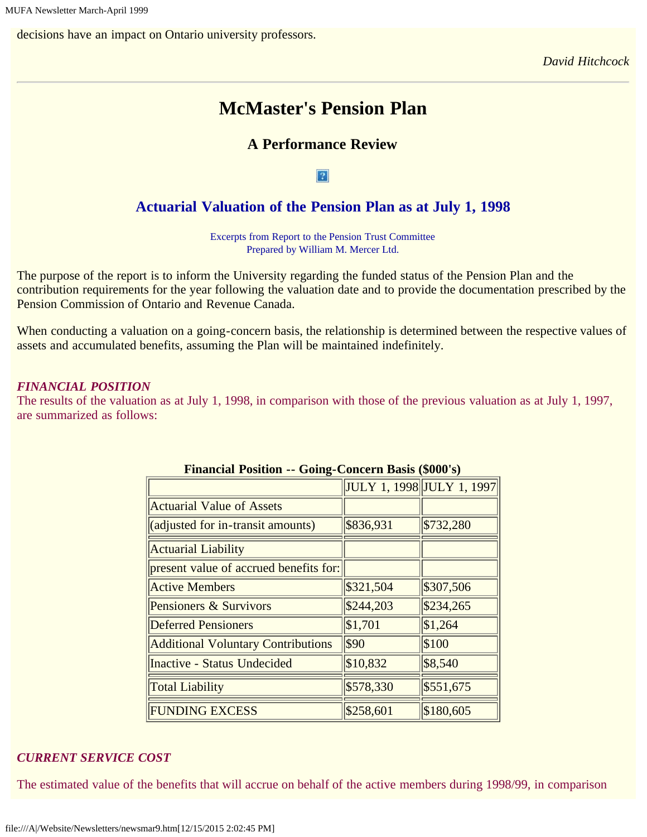decisions have an impact on Ontario university professors.

*David Hitchcock*

# **McMaster's Pension Plan**

# **A Performance Review**

#### $|2|$

### **Actuarial Valuation of the Pension Plan as at July 1, 1998**

Excerpts from Report to the Pension Trust Committee Prepared by William M. Mercer Ltd.

The purpose of the report is to inform the University regarding the funded status of the Pension Plan and the contribution requirements for the year following the valuation date and to provide the documentation prescribed by the Pension Commission of Ontario and Revenue Canada.

When conducting a valuation on a going-concern basis, the relationship is determined between the respective values of assets and accumulated benefits, assuming the Plan will be maintained indefinitely.

#### *FINANCIAL POSITION*

The results of the valuation as at July 1, 1998, in comparison with those of the previous valuation as at July 1, 1997, are summarized as follows:

|                                           |           | JULY 1, 1998 JULY 1, 1997 |
|-------------------------------------------|-----------|---------------------------|
| <b>Actuarial Value of Assets</b>          |           |                           |
| (adjusted for in-transit amounts)         | \$836,931 | \$732,280                 |
| <b>Actuarial Liability</b>                |           |                           |
| present value of accrued benefits for:    |           |                           |
| <b>Active Members</b>                     | \$321,504 | \$307,506                 |
| Pensioners & Survivors                    | \$244,203 | \$234,265                 |
| <b>Deferred Pensioners</b>                | \$1,701   | \$1,264                   |
| <b>Additional Voluntary Contributions</b> | \$90      | \$100                     |
| <b>Inactive - Status Undecided</b>        | \$10,832  | \$8,540                   |
| <b>Total Liability</b>                    | \$578,330 | \$551,675                 |
| <b>FUNDING EXCESS</b>                     | \$258,601 | \$180,605                 |

#### **Financial Position -- Going-Concern Basis (\$000's)**

#### *CURRENT SERVICE COST*

The estimated value of the benefits that will accrue on behalf of the active members during 1998/99, in comparison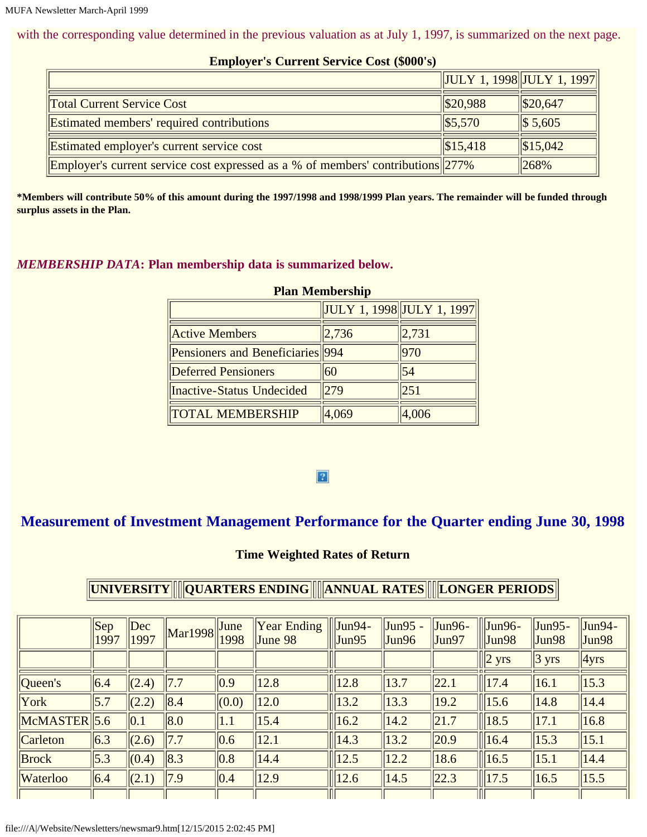with the corresponding value determined in the previous valuation as at July 1, 1997, is summarized on the next page.

| $\frac{1}{2}$                                                                          |                            |                    |
|----------------------------------------------------------------------------------------|----------------------------|--------------------|
|                                                                                        | JULY 1, 1998  JULY 1, 1997 |                    |
| <b>Total Current Service Cost</b>                                                      | \$20,988                   | $\frac{$20,647}{}$ |
| <b>Estimated members' required contributions</b>                                       | $\frac{1}{5,570}$          | $\  $ 5,605$       |
| <b>Estimated employer's current service cost</b>                                       | $\frac{1}{15.418}$         | $\frac{$15,042}$   |
| <b>Employer's current service cost expressed as a % of members' contributions</b> 277% |                            | $ 268\%$           |

#### **Employer's Current Service Cost (\$000's)**

**\*Members will contribute 50% of this amount during the 1997/1998 and 1998/1999 Plan years. The remainder will be funded through surplus assets in the Plan.**

#### *MEMBERSHIP DATA***: Plan membership data is summarized below.**

| T RAH TAULING PHIP               |       |                                                                     |  |  |  |  |  |  |  |
|----------------------------------|-------|---------------------------------------------------------------------|--|--|--|--|--|--|--|
|                                  |       | $\left\  \text{JULY 1, 1998} \right\  \text{JULY 1, 1997} \right\ $ |  |  |  |  |  |  |  |
| <b>Active Members</b>            | 2,736 | 2,731                                                               |  |  |  |  |  |  |  |
| Pensioners and Beneficiaries 994 |       | 970                                                                 |  |  |  |  |  |  |  |
| <b>Deferred Pensioners</b>       | 60    | 54                                                                  |  |  |  |  |  |  |  |
| <b>Inactive-Status Undecided</b> | 279   | 251                                                                 |  |  |  |  |  |  |  |
| <b>TOTAL MEMBERSHIP</b>          | 4,069 | 4,006                                                               |  |  |  |  |  |  |  |

#### **Plan Membership**

#### $\overline{3}$

# **Measurement of Investment Management Performance for the Quarter ending June 30, 1998**

#### **Time Weighted Rates of Return**

# **UNIVERSITY QUARTERS ENDING ANNUAL RATES LONGER PERIODS**

|                         | Sep<br>1997       | Dec<br>1997   | $\left \frac{\text{Mar1998}}{\text{Mar1998}}\right $ | June<br>1998           | <b>Year Ending</b><br>June $98$ | $\left $ Jun94-<br>$ $ Jun $95$ | Jun95 -<br>Jun96 | $Jun96-$<br>Jun97 | $\parallel$ Jun96-<br>$\parallel$ Jun98 | $Jun95-$<br>Jun98 | $\text{Jun94}$ -<br> Jun98 |
|-------------------------|-------------------|---------------|------------------------------------------------------|------------------------|---------------------------------|---------------------------------|------------------|-------------------|-----------------------------------------|-------------------|----------------------------|
|                         |                   |               |                                                      |                        |                                 |                                 |                  |                   | $\ 2 \text{ yrs}\ $                     | $ 3 \text{ yrs} $ | $\vert$ 4yrs               |
| $\sqrt{\text{Oueen's}}$ | 6.4               | (2.4)         | 7.7                                                  | $ 0.9\rangle$          | 12.8                            | 12.8                            | 13.7             | 22.1              | 17.4                                    | 16.1              | $\ 15.3\ $                 |
| York                    | $\vert 5.7 \vert$ | (2.2)         | $\ 8.4$                                              | (0.0)                  | 12.0                            | 13.2                            | 13.3             | 19.2              | 15.6                                    | 14.8              | 14.4                       |
| $MCMASTER$ 5.6          |                   | $ 0.1\rangle$ | $\ 8.0$                                              | 1.1                    | 15.4                            | 16.2                            | 14.2             | $\vert 21.7$      | $\ $ 18.5                               | 17.1              | $\ 16.8\ $                 |
| $\ $ Carleton           | 6.3               | (2.6)         | 7.7                                                  | $\vert 0.6 \vert$      | 12.1                            | 14.3                            | 13.2             | $\vert$ 20.9      | $\ $ 16.4                               | 15.3              | $\ 15.1$                   |
| Brock                   | $\vert 5.3 \vert$ | (0.4)         | $\ 8.3\ $                                            | $\vert\vert 0.8 \vert$ | 14.4                            | 12.5                            | 12.2             | 18.6              | $\ $ 16.5                               | 15.1              | 14.4                       |
| <b>Waterloo</b>         | 6.4               | (2.1)         | $\vert 7.9 \vert$                                    | $\vert$ 0.4            | 12.9                            | 12.6                            | 14.5             | 22.3              | 17.5                                    | 16.5              | $\ 15.5\ $                 |
|                         |                   |               |                                                      |                        |                                 |                                 |                  |                   |                                         |                   |                            |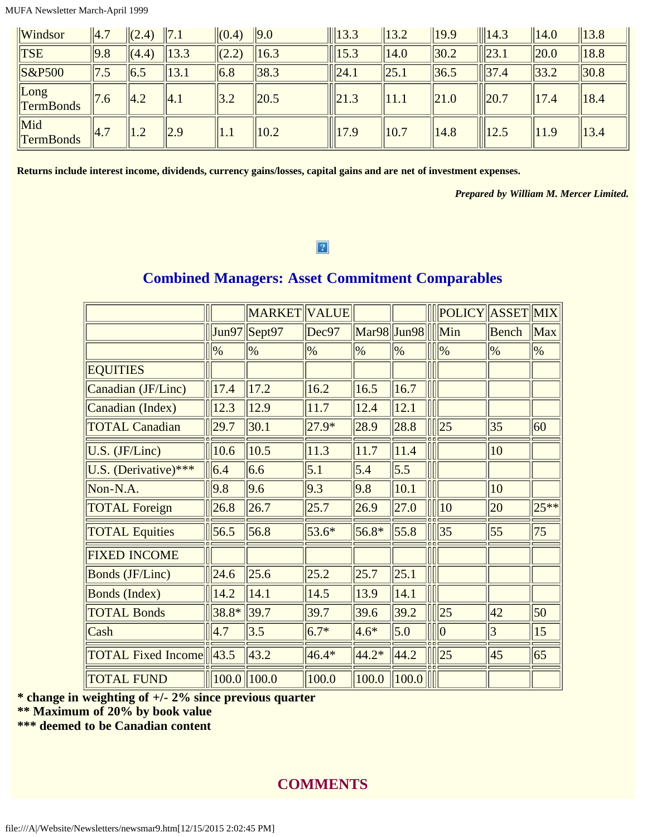MUFA Newsletter March-April 1999

| $\mathbf{W}$ indsor                              | $\vert 4.7$  | $\  (2.4) \ $   | $\parallel$ 7.1   | $\  (0.4)$             | $\vert$ 9.0 | $\ $ 13.3          | $\ 13.2$         | $\ 19.9\ $       | $\ $ 14.3        | $\ 14.0\ $ | $\ 13.8\ $       |
|--------------------------------------------------|--------------|-----------------|-------------------|------------------------|-------------|--------------------|------------------|------------------|------------------|------------|------------------|
| $\ TSE\ $                                        | 9.8          | $\ $ (4.4)      | $\ 13.3\ $        | (2.2)                  | 16.3        | $\ $ 15.3          | $\parallel$ 14.0 | $\parallel$ 30.2 | $\ $   23.1      | $\ 20.0\ $ | $\parallel$ 18.8 |
| $\left S\&P500\right $                           | 7.5          | $\vert$ 6.5     | $\ 13.1$          | $\vert\vert 6.8 \vert$ | 38.3        | $\ $  24.1         | $\ 25.1$         | $\ 36.5$         | $\ $ 37.4        | $\ 33.2\ $ | $\parallel$ 30.8 |
| $\lfloor$ Long<br>$\Gamma$ <sup>T</sup> ermBonds | $\sqrt{7.6}$ | $\parallel$ 4.2 | $\vert 4.1 \vert$ | 3.2                    | 20.5        | $\ $  21.3         | 11.1             | $\ 21.0$         | $\frac{1}{20.7}$ | 17.4       | $\ 18.4$         |
| Mid<br><b>TermBonds</b>                          | $\sqrt{4.7}$ | $\parallel$ 1.2 | $\parallel$ 2.9   | $\vert 1.1$            | 10.2        | $\frac{1}{2}$ 17.9 | $\ 10.7$         | $\ 14.8$         | $\  \ $ 12.5     | 11.9       | $\ 13.4$         |

**Returns include interest income, dividends, currency gains/losses, capital gains and are net of investment expenses.**

*Prepared by William M. Mercer Limited.*

#### $\overline{3}$

### **Combined Managers: Asset Commitment Comparables**

|                           |                  | MARKET VALUE  |         |                                                      |               | POLICY ASSET MIX |                  |               |
|---------------------------|------------------|---------------|---------|------------------------------------------------------|---------------|------------------|------------------|---------------|
|                           | Jun97            | $S$ ept $97$  | Dec97   | $\left \text{Mar98}\right \left \text{Jun98}\right $ |               | Min              | Bench            | Max           |
|                           | $\frac{9}{6}$    | $\frac{9}{6}$ | $\%$    | $\frac{9}{6}$                                        | $\frac{9}{6}$ | $\frac{9}{6}$    | $\frac{9}{6}$    | $\frac{9}{6}$ |
| <b>EQUITIES</b>           |                  |               |         |                                                      |               |                  |                  |               |
| Canadian (JF/Linc)        | 17.4             | 17.2          | 16.2    | 16.5                                                 | 16.7          |                  |                  |               |
| Canadian (Index)          | 12.3             | 12.9          | 11.7    | 12.4                                                 | 12.1          |                  |                  |               |
| <b>TOTAL Canadian</b>     | 29.7             | 30.1          | $27.9*$ | 28.9                                                 | 28.8          | 25               | 35               | 60            |
| U.S. (JF/Linc)            | 10.6             | 10.5          | 11.3    | 11.7                                                 | 11.4          |                  | 10               |               |
| U.S. (Derivative)***      | 6.4              | 6.6           | 5.1     | 5.4                                                  | 5.5           |                  |                  |               |
| Non-N.A.                  | 9.8              | 9.6           | 9.3     | 9.8                                                  | 10.1          |                  | 10               |               |
| <b>TOTAL Foreign</b>      | 26.8             | 26.7          | 25.7    | 26.9                                                 | 27.0          | $ 10\rangle$     | 20               | $25**$        |
| <b>TOTAL Equities</b>     | 56.5             | 56.8          | $53.6*$ | $56.8*$                                              | 55.8          | 35               | $\vert 55 \vert$ | 75            |
| <b>FIXED INCOME</b>       |                  |               |         |                                                      |               |                  |                  |               |
| Bonds (JF/Linc)           | 24.6             | 25.6          | 25.2    | 25.7                                                 | 25.1          |                  |                  |               |
| Bonds (Index)             | 14.2             | 14.1          | 14.5    | 13.9                                                 | 14.1          |                  |                  |               |
| <b>TOTAL Bonds</b>        | $38.8*$          | 39.7          | 39.7    | 39.6                                                 | 39.2          | 25               | 42               | 50            |
| Cash                      | 4.7              | 3.5           | $6.7*$  | $4.6*$                                               | 5.0           | $\parallel 0$    | 3                | 15            |
| <b>TOTAL Fixed Income</b> | $\ 43.5\ $       | 43.2          | $46.4*$ | $44.2*$                                              | 44.2          | 25               | 45               | 65            |
| <b>TOTAL FUND</b>         | $\ 100.0\ 100.0$ |               | 100.0   | 100.0                                                | 100.0         |                  |                  |               |

**\* change in weighting of +/- 2% since previous quarter**

**\*\* Maximum of 20% by book value**

**\*\*\* deemed to be Canadian content**

### **COMMENTS**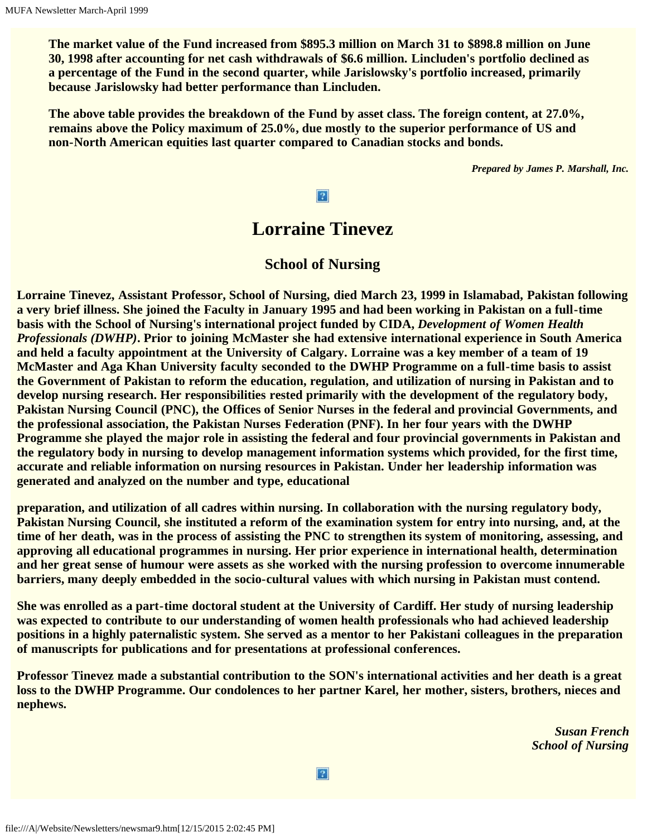**The market value of the Fund increased from \$895.3 million on March 31 to \$898.8 million on June 30, 1998 after accounting for net cash withdrawals of \$6.6 million. Lincluden's portfolio declined as a percentage of the Fund in the second quarter, while Jarislowsky's portfolio increased, primarily because Jarislowsky had better performance than Lincluden.**

**The above table provides the breakdown of the Fund by asset class. The foreign content, at 27.0%, remains above the Policy maximum of 25.0%, due mostly to the superior performance of US and non-North American equities last quarter compared to Canadian stocks and bonds.**

*Prepared by James P. Marshall, Inc.*

#### $|2|$

# **Lorraine Tinevez**

#### **School of Nursing**

**Lorraine Tinevez, Assistant Professor, School of Nursing, died March 23, 1999 in Islamabad, Pakistan following a very brief illness. She joined the Faculty in January 1995 and had been working in Pakistan on a full-time basis with the School of Nursing's international project funded by CIDA,** *Development of Women Health Professionals (DWHP)***. Prior to joining McMaster she had extensive international experience in South America and held a faculty appointment at the University of Calgary. Lorraine was a key member of a team of 19 McMaster and Aga Khan University faculty seconded to the DWHP Programme on a full-time basis to assist the Government of Pakistan to reform the education, regulation, and utilization of nursing in Pakistan and to develop nursing research. Her responsibilities rested primarily with the development of the regulatory body, Pakistan Nursing Council (PNC), the Offices of Senior Nurses in the federal and provincial Governments, and the professional association, the Pakistan Nurses Federation (PNF). In her four years with the DWHP Programme she played the major role in assisting the federal and four provincial governments in Pakistan and the regulatory body in nursing to develop management information systems which provided, for the first time, accurate and reliable information on nursing resources in Pakistan. Under her leadership information was generated and analyzed on the number and type, educational**

**preparation, and utilization of all cadres within nursing. In collaboration with the nursing regulatory body, Pakistan Nursing Council, she instituted a reform of the examination system for entry into nursing, and, at the time of her death, was in the process of assisting the PNC to strengthen its system of monitoring, assessing, and approving all educational programmes in nursing. Her prior experience in international health, determination and her great sense of humour were assets as she worked with the nursing profession to overcome innumerable barriers, many deeply embedded in the socio-cultural values with which nursing in Pakistan must contend.**

**She was enrolled as a part-time doctoral student at the University of Cardiff. Her study of nursing leadership was expected to contribute to our understanding of women health professionals who had achieved leadership positions in a highly paternalistic system. She served as a mentor to her Pakistani colleagues in the preparation of manuscripts for publications and for presentations at professional conferences.**

**Professor Tinevez made a substantial contribution to the SON's international activities and her death is a great loss to the DWHP Programme. Our condolences to her partner Karel, her mother, sisters, brothers, nieces and nephews.**

> *Susan French School of Nursing*

 $|2|$